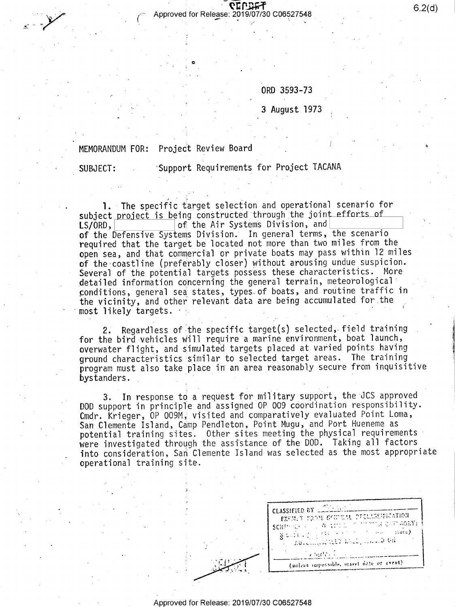$\begin{array}{cc}\n\bullet & \bullet & \bullet \\
\bullet & \bullet & \bullet\n\end{array}$  Approved for Release: 2019/07/30 C06527548

ORD 3593-73 /

, and the same state  $\mathcal{L}_\text{max}$  and the same state  $\mathcal{L}_\text{max}$ 

3 August l973 ;

## MEMORANDUM FOR: Project Review Board

'

U

SUBJECT: Support Requirements for Project TACANA

1. The specific target selection and operational scenario for subject project is being constructed through the joint efforts of  $LS/ORD$ ,  $\textsf{\small LS/ORD},\textcolor{red}{\small \begin{bmatrix} \text{of} \end{bmatrix}}$  of the Air Systems Division, and  $\small \begin{bmatrix} \text{in} \end{bmatrix}}$ of the Defensive Systems Division; In general terms, the scenario required that the target be located not more than two miles from the open sea, and that commercial or private boats may pass within l2 miles of the coastline (preferably closer) without arousing undue suspicion. Several of the potential targets possess these characteristics. More detailed information concerning the general terrain, meteorological conditions, general sea states, types of boats, and routine traffic in the vicinity, and other relevant data are being accumulated for the  $most$  likely targets.  $\cdot$  . ' is a series of the series of

2. Regardless of the specific target(s) selected, field training for the bird vehicles will require a marine environment, boat launch, overwater flight, and simulated targets placed at varied points having ground characteristics similar to selected\_target areas. The training program must also take place in an area reasonably secure from inquisitive bystanders.

3. In response to a request for military support, the JCS approved DOD support in principle and assigned OP 009 coordination responsibility. Cmdr. Krieger, OP 009M, visited and comparatively evaluated Point Loma, San Clemente Island, Camp Pendleton, Point Mugu, and Port Hueneme as potential training sites. Other sites meeting the physical requirements' were investigated through the assistance of the DOD. Taking all factors into consideration, San Clemente Island was selected as the most appropriate operational training site. \_

|  | CLASSIFIED BY                                                                                                                                                                                                                                                                                                                                                                                                                                                                                                                                                                                           |
|--|---------------------------------------------------------------------------------------------------------------------------------------------------------------------------------------------------------------------------------------------------------------------------------------------------------------------------------------------------------------------------------------------------------------------------------------------------------------------------------------------------------------------------------------------------------------------------------------------------------|
|  | EXEMPT FROM GARDEN DICTIVEEEDVION<br>SCHRIFFER TO LOW AND NOT TO THAT CARD AGEN:<br>$\begin{array}{l} \left\ \left\ \left\ \left(1+\left(\begin{smallmatrix}1&1\\1&1\end{smallmatrix}\right)\right)\right\ _{\mathcal{H}}\right\ _{\mathcal{H}}\right\ _{\mathcal{H}}\leq\left\ \left\ \left\ \left(\begin{smallmatrix}1&1\\1&1\end{smallmatrix}\right)\right\ _{\mathcal{H}}\right\ _{\mathcal{H}}\right\ _{\mathcal{H}}\right)\\ \left\ \left\ \left\ \left\ \left\ \left(\begin{smallmatrix}1&1\\1&1\end{smallmatrix}\right)\right\ _{\mathcal{H}}\right\ _{\mathcal{H}}\right\ _{\mathcal{H}}\left$ |
|  | a bartes communication                                                                                                                                                                                                                                                                                                                                                                                                                                                                                                                                                                                  |
|  | (unless impossible, insert date or event)                                                                                                                                                                                                                                                                                                                                                                                                                                                                                                                                                               |